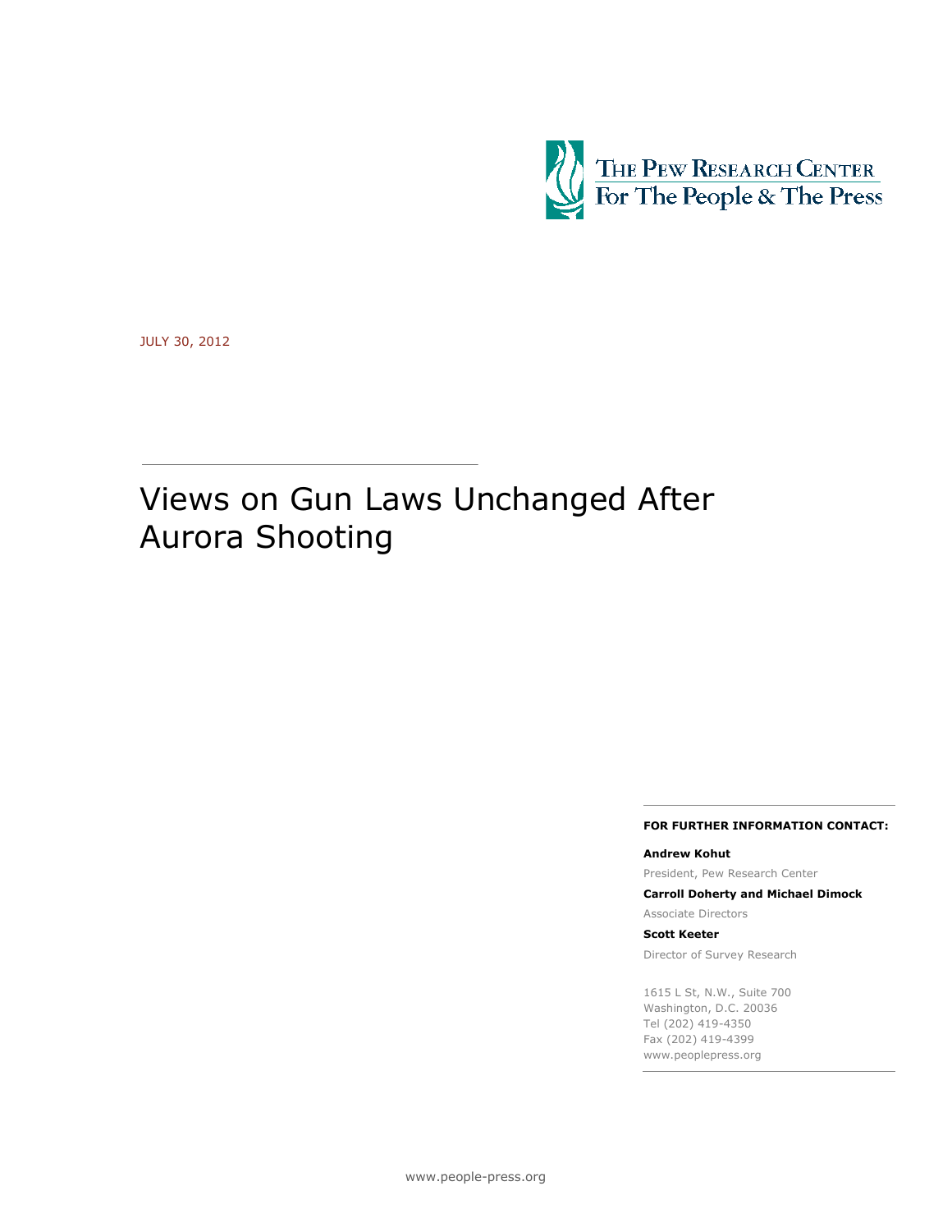

JULY 30, 2012

# Views on Gun Laws Unchanged After Aurora Shooting

#### **FOR FURTHER INFORMATION CONTACT:**

**Andrew Kohut** President, Pew Research Center

**Carroll Doherty and Michael Dimock**

Associate Directors

**Scott Keeter** Director of Survey Research

1615 L St, N.W., Suite 700 Washington, D.C. 20036

Tel (202) 419-4350 Fax (202) 419-4399 www.peoplepress.org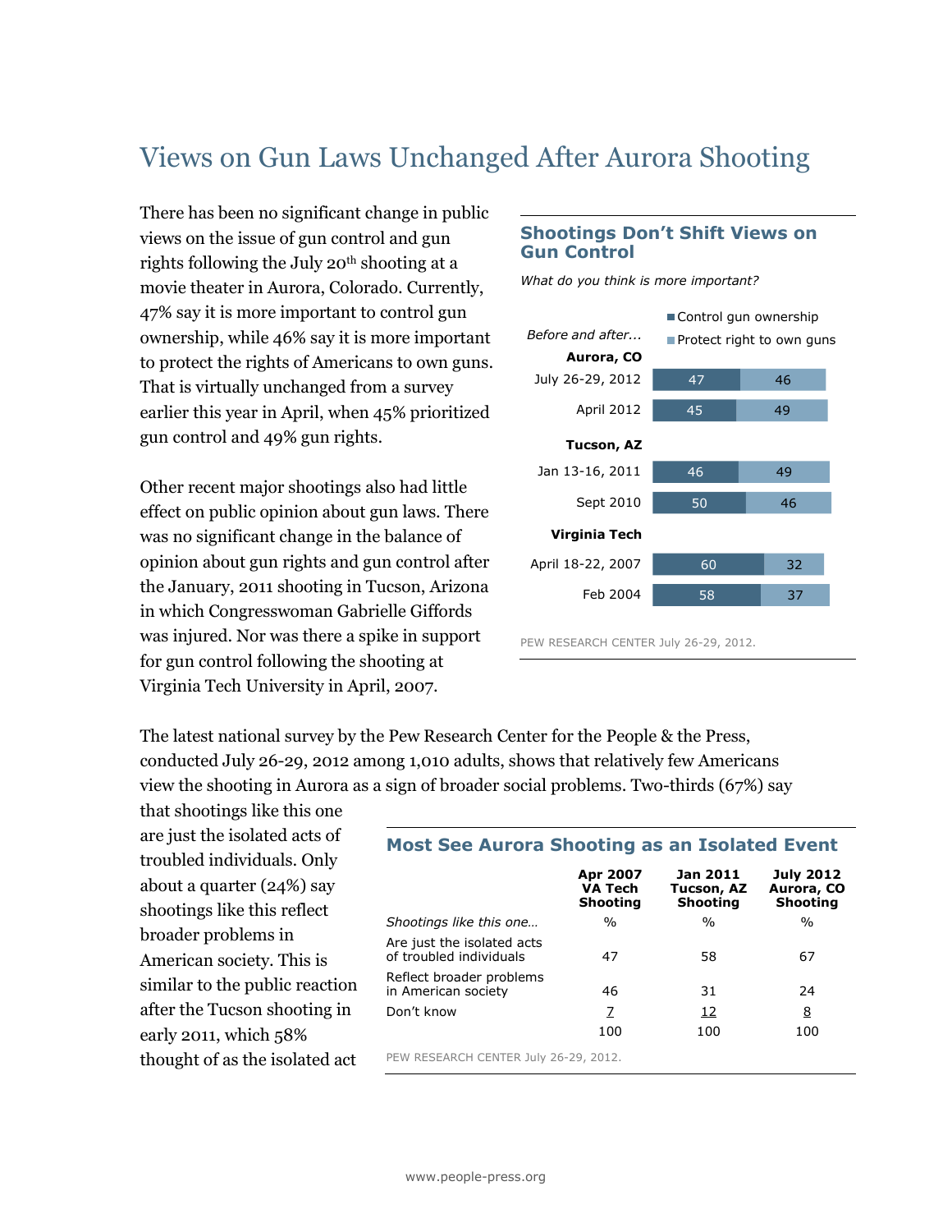## Views on Gun Laws Unchanged After Aurora Shooting

There has been no significant change in public views on the issue of gun control and gun rights following the July 20<sup>th</sup> shooting at a movie theater in Aurora, Colorado. Currently, 47% say it is more important to control gun ownership, while 46% say it is more important to protect the rights of Americans to own guns. That is virtually unchanged from a survey earlier this year in April, when 45% prioritized gun control and 49% gun rights.

Other recent major shootings also had little effect on public opinion about gun laws. There was no significant change in the balance of opinion about gun rights and gun control after the January, 2011 shooting in Tucson, Arizona in which Congresswoman Gabrielle Giffords was injured. Nor was there a spike in support for gun control following the shooting at Virginia Tech University in April, 2007.

## **Shootings Don't Shift Views on Gun Control**

*What do you think is more important?*



PEW RESEARCH CENTER July 26-29, 2012.

The latest national survey by the Pew Research Center for the People & the Press, conducted July 26-29, 2012 among 1,010 adults, shows that relatively few Americans view the shooting in Aurora as a sign of broader social problems. Two-thirds (67%) say

that shootings like this one are just the isolated acts of troubled individuals. Only about a quarter (24%) say shootings like this reflect broader problems in American society. This is similar to the public reaction after the Tucson shooting in early 2011, which 58% thought of as the isolated act

## **Most See Aurora Shooting as an Isolated Event**

|                                                       | Apr 2007<br><b>VA Tech</b><br><b>Shooting</b> | Jan 2011<br>Tucson, AZ<br><b>Shooting</b> | <b>July 2012</b><br>Aurora, CO<br><b>Shooting</b> |
|-------------------------------------------------------|-----------------------------------------------|-------------------------------------------|---------------------------------------------------|
| Shootings like this one                               | $\frac{0}{0}$                                 | $\frac{0}{0}$                             | $\frac{0}{0}$                                     |
| Are just the isolated acts<br>of troubled individuals | 47                                            | 58                                        | 67                                                |
| Reflect broader problems<br>in American society       | 46                                            | 31                                        | 24                                                |
| Don't know                                            | Z                                             | 12                                        | <u>8</u>                                          |
|                                                       | 100                                           | 100                                       | 100                                               |
| PEW RESEARCH CENTER July 26-29, 2012.                 |                                               |                                           |                                                   |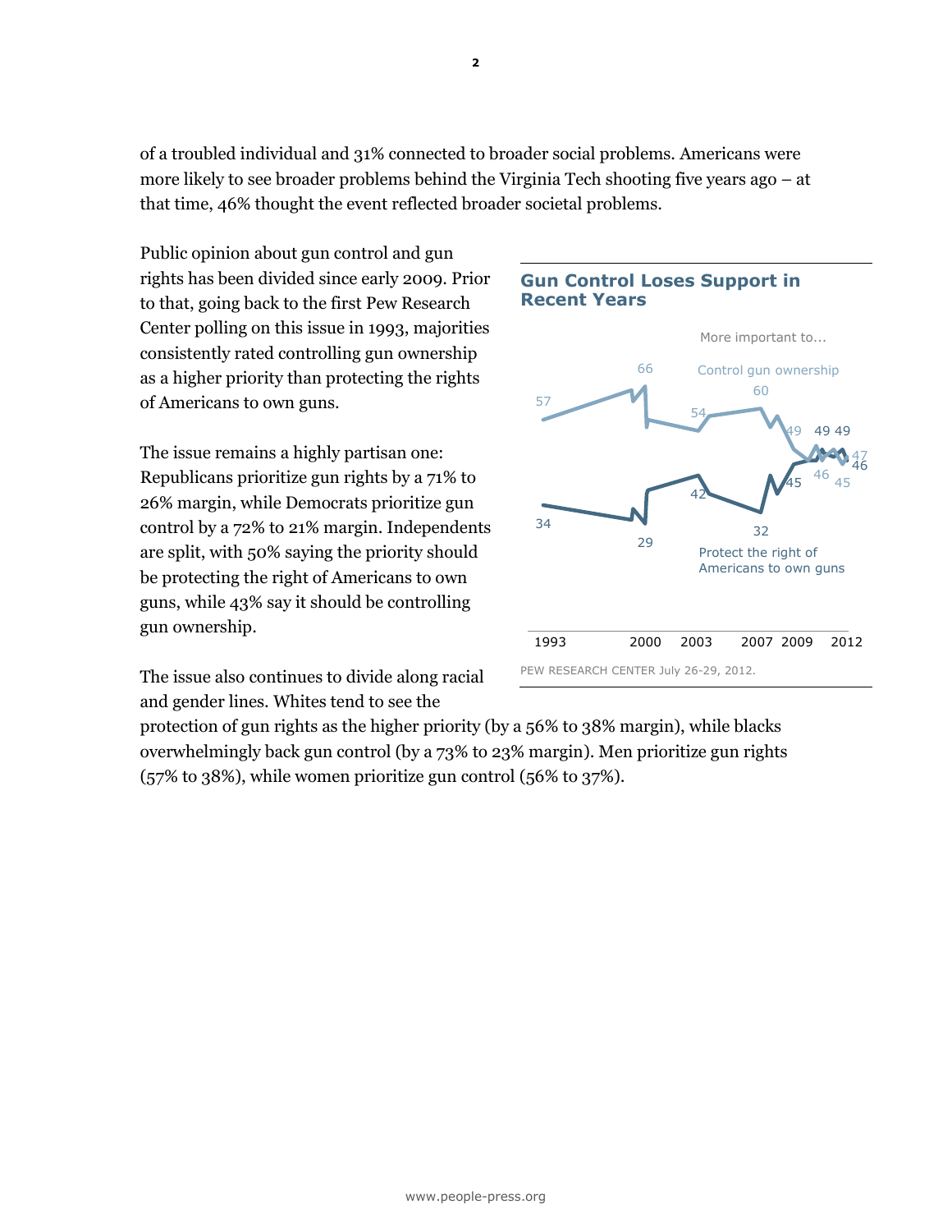of a troubled individual and 31% connected to broader social problems. Americans were more likely to see broader problems behind the Virginia Tech shooting five years ago – at that time, 46% thought the event reflected broader societal problems.

Public opinion about gun control and gun rights has been divided since early 2009. Prior to that, going back to the first Pew Research Center polling on this issue in 1993, majorities consistently rated controlling gun ownership as a higher priority than protecting the rights of Americans to own guns.

The issue remains a highly partisan one: Republicans prioritize gun rights by a 71% to 26% margin, while Democrats prioritize gun control by a 72% to 21% margin. Independents are split, with 50% saying the priority should be protecting the right of Americans to own guns, while 43% say it should be controlling gun ownership.

The issue also continues to divide along racial and gender lines. Whites tend to see the



## **Gun Control Loses Support in Recent Years**

protection of gun rights as the higher priority (by a 56% to 38% margin), while blacks overwhelmingly back gun control (by a 73% to 23% margin). Men prioritize gun rights (57% to 38%), while women prioritize gun control (56% to 37%).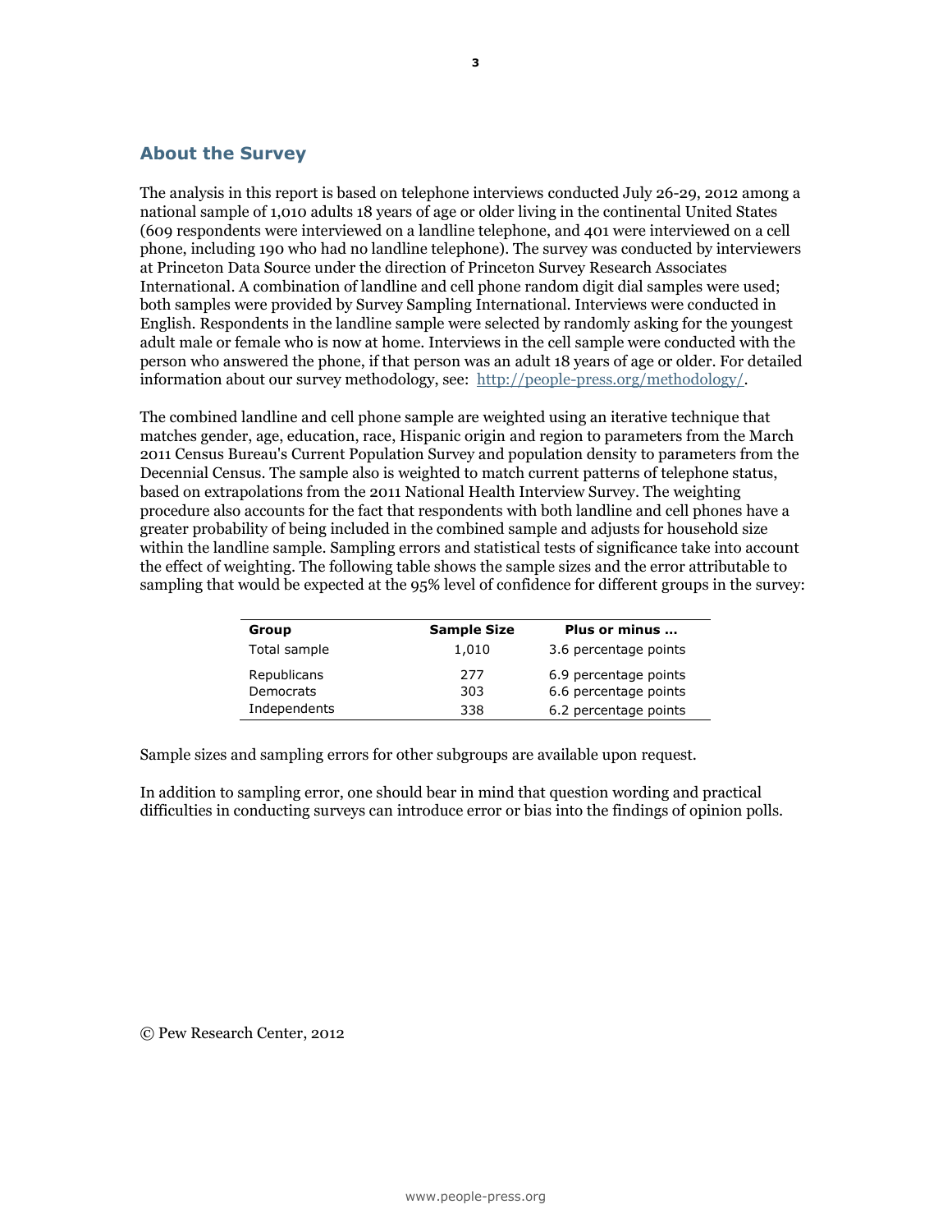## **About the Survey**

The analysis in this report is based on telephone interviews conducted July 26-29, 2012 among a national sample of 1,010 adults 18 years of age or older living in the continental United States (609 respondents were interviewed on a landline telephone, and 401 were interviewed on a cell phone, including 190 who had no landline telephone). The survey was conducted by interviewers at Princeton Data Source under the direction of Princeton Survey Research Associates International. A combination of landline and cell phone random digit dial samples were used; both samples were provided by Survey Sampling International. Interviews were conducted in English. Respondents in the landline sample were selected by randomly asking for the youngest adult male or female who is now at home. Interviews in the cell sample were conducted with the person who answered the phone, if that person was an adult 18 years of age or older. For detailed information about our survey methodology, see: [http://people-press.org/methodology/.](http://people-press.org/methodology/)

The combined landline and cell phone sample are weighted using an iterative technique that matches gender, age, education, race, Hispanic origin and region to parameters from the March 2011 Census Bureau's Current Population Survey and population density to parameters from the Decennial Census. The sample also is weighted to match current patterns of telephone status, based on extrapolations from the 2011 National Health Interview Survey. The weighting procedure also accounts for the fact that respondents with both landline and cell phones have a greater probability of being included in the combined sample and adjusts for household size within the landline sample. Sampling errors and statistical tests of significance take into account the effect of weighting. The following table shows the sample sizes and the error attributable to sampling that would be expected at the 95% level of confidence for different groups in the survey:

| Group        | <b>Sample Size</b> | Plus or minus         |
|--------------|--------------------|-----------------------|
| Total sample | 1,010              | 3.6 percentage points |
| Republicans  | 277                | 6.9 percentage points |
| Democrats    | 303                | 6.6 percentage points |
| Independents | 338                | 6.2 percentage points |
|              |                    |                       |

Sample sizes and sampling errors for other subgroups are available upon request.

In addition to sampling error, one should bear in mind that question wording and practical difficulties in conducting surveys can introduce error or bias into the findings of opinion polls.

© Pew Research Center, 2012